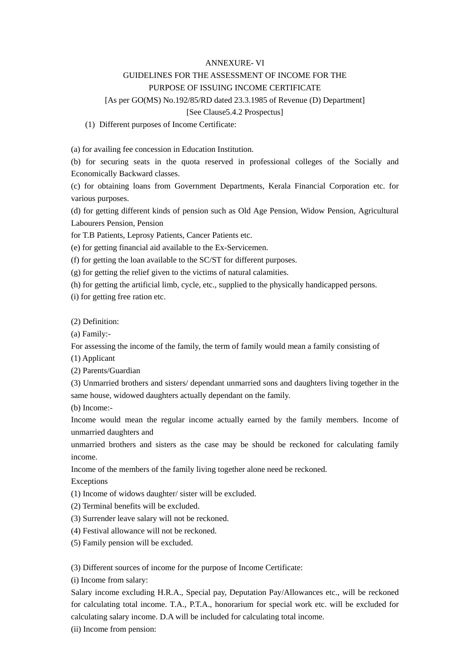### ANNEXURE- VI

# GUIDELINES FOR THE ASSESSMENT OF INCOME FOR THE

# PURPOSE OF ISSUING INCOME CERTIFICATE

# [As per GO(MS) No.192/85/RD dated 23.3.1985 of Revenue (D) Department]

#### [See Clause5.4.2 Prospectus]

#### (1) Different purposes of Income Certificate:

(a) for availing fee concession in Education Institution.

(b) for securing seats in the quota reserved in professional colleges of the Socially and Economically Backward classes.

(c) for obtaining loans from Government Departments, Kerala Financial Corporation etc. for various purposes.

(d) for getting different kinds of pension such as Old Age Pension, Widow Pension, Agricultural Labourers Pension, Pension

for T.B Patients, Leprosy Patients, Cancer Patients etc.

(e) for getting financial aid available to the Ex-Servicemen.

(f) for getting the loan available to the SC/ST for different purposes.

(g) for getting the relief given to the victims of natural calamities.

(h) for getting the artificial limb, cycle, etc., supplied to the physically handicapped persons.

(i) for getting free ration etc.

(2) Definition:

(a) Family:-

For assessing the income of the family, the term of family would mean a family consisting of

(1) Applicant

(2) Parents/Guardian

(3) Unmarried brothers and sisters/ dependant unmarried sons and daughters living together in the same house, widowed daughters actually dependant on the family.

(b) Income:-

Income would mean the regular income actually earned by the family members. Income of unmarried daughters and

unmarried brothers and sisters as the case may be should be reckoned for calculating family income.

Income of the members of the family living together alone need be reckoned.

Exceptions

(1) Income of widows daughter/ sister will be excluded.

- (2) Terminal benefits will be excluded.
- (3) Surrender leave salary will not be reckoned.
- (4) Festival allowance will not be reckoned.
- (5) Family pension will be excluded.

(3) Different sources of income for the purpose of Income Certificate:

(i) Income from salary:

Salary income excluding H.R.A., Special pay, Deputation Pay/Allowances etc., will be reckoned for calculating total income. T.A., P.T.A., honorarium for special work etc. will be excluded for calculating salary income. D.A will be included for calculating total income.

(ii) Income from pension: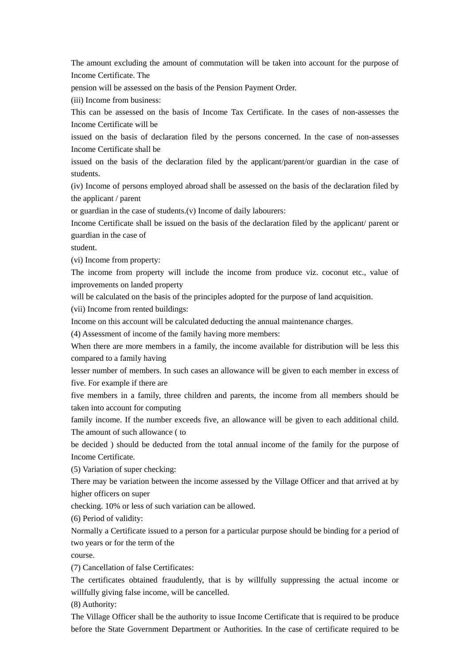The amount excluding the amount of commutation will be taken into account for the purpose of Income Certificate. The

pension will be assessed on the basis of the Pension Payment Order.

(iii) Income from business:

This can be assessed on the basis of Income Tax Certificate. In the cases of non-assesses the Income Certificate will be

issued on the basis of declaration filed by the persons concerned. In the case of non-assesses Income Certificate shall be

issued on the basis of the declaration filed by the applicant/parent/or guardian in the case of students.

(iv) Income of persons employed abroad shall be assessed on the basis of the declaration filed by the applicant / parent

or guardian in the case of students.(v) Income of daily labourers:

Income Certificate shall be issued on the basis of the declaration filed by the applicant/ parent or guardian in the case of

student.

(vi) Income from property:

The income from property will include the income from produce viz. coconut etc., value of improvements on landed property

will be calculated on the basis of the principles adopted for the purpose of land acquisition.

(vii) Income from rented buildings:

Income on this account will be calculated deducting the annual maintenance charges.

(4) Assessment of income of the family having more members:

When there are more members in a family, the income available for distribution will be less this compared to a family having

lesser number of members. In such cases an allowance will be given to each member in excess of five. For example if there are

five members in a family, three children and parents, the income from all members should be taken into account for computing

family income. If the number exceeds five, an allowance will be given to each additional child. The amount of such allowance ( to

be decided ) should be deducted from the total annual income of the family for the purpose of Income Certificate.

(5) Variation of super checking:

There may be variation between the income assessed by the Village Officer and that arrived at by higher officers on super

checking. 10% or less of such variation can be allowed.

(6) Period of validity:

Normally a Certificate issued to a person for a particular purpose should be binding for a period of two years or for the term of the

course.

(7) Cancellation of false Certificates:

The certificates obtained fraudulently, that is by willfully suppressing the actual income or willfully giving false income, will be cancelled.

(8) Authority:

The Village Officer shall be the authority to issue Income Certificate that is required to be produce before the State Government Department or Authorities. In the case of certificate required to be